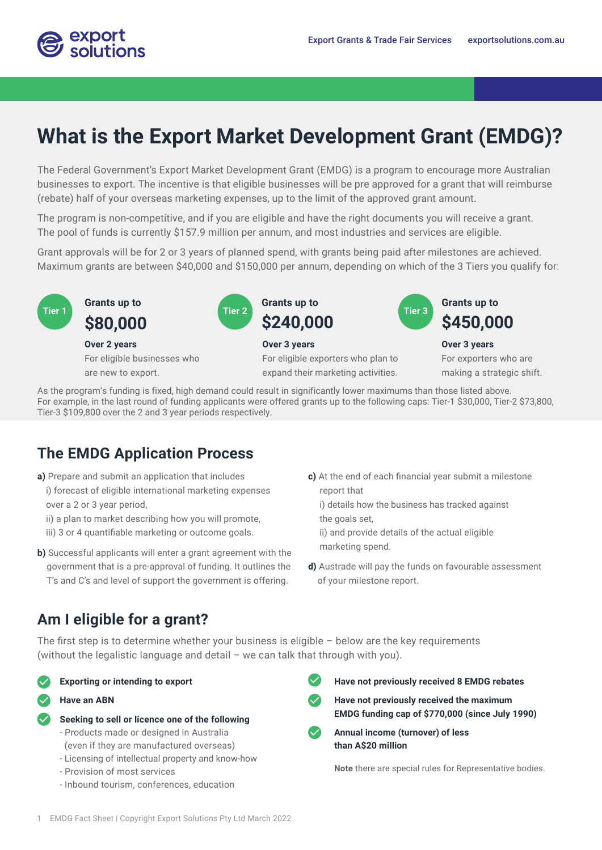

# **What is the Export Market Development Grant (EMDG)?**

The Federal Government's Export Market Development Grant (EMDG) is a program to encourage more Australian businesses to export. The incentive is that eligible businesses will be pre approved for a grant that will reimburse (rebate) half of your overseas marketing expenses, up to the limit of the approved grant amount.

The program is non-competitive, and if you are eligible and have the right documents you will receive a grant. The pool of funds is currently \$157.9 million per annum, and most industries and services are eligible.

Grant approvals will be for 2 or 3 years of planned spend, with grants being paid after milestones are achieved. Maximum grants are between \$40,000 and \$150,000 per annum, depending on which of the 3 Tiers you qualify for:



### **Over 2 years**

For eligible businesses who are new to export.





For eligible exporters who plan to expand their marketing activities.



**Over 3 years**  For exporters who are making a strategic shift.

As the program's funding is fixed, high demand could result in significantly lower maximums than those listed above. For example, in the last round of funding applicants were offered grants up to the following caps: Tier-1 \$30,000, Tier-2 \$73,800, Tier-3 \$109,800 over the 2 and 3 year periods respectively.

### **The EMDG Application Process**

- **a)** Prepare and submit an application that includes
	- i) forecast of eligible international marketing expenses over a 2 or 3 year period,
	- ii) a plan to market describing how you will promote,
	- iii) 3 or 4 quantifiable marketing or outcome goals.
- **b**) Successful applicants will enter a grant agreement with the government that is a pre-approval of funding. It outlines the T's and C's and level of support the government is offering.
- **c)** At the end of each financial year submit a milestone report that
	- i) details how the business has tracked against
	- the goals set,
	- ii) and provide details of the actual eligible
	- marketing spend.
- **d)** Austrade will pay the funds on favourable assessment of your milestone report.

### **Am I eligible for a grant?**

The first step is to determine whether your business is eligible – below are the key requirements (without the legalistic language and detail – we can talk that through with you).



- **Have an ABN**
	- **Seeking to sell or licence one of the following**
	- Products made or designed in Australia (even if they are manufactured overseas)
	- Licensing of intellectual property and know-how
	- Provision of most services
	- Inbound tourism, conferences, education
- **Have not previously received 8 EMDG rebates**
- **Have not previously received the maximum EMDG funding cap of \$770,000 (since July 1990)**
- **Annual income (turnover) of less than A\$20 million**

**Note** there are special rules for Representative bodies.